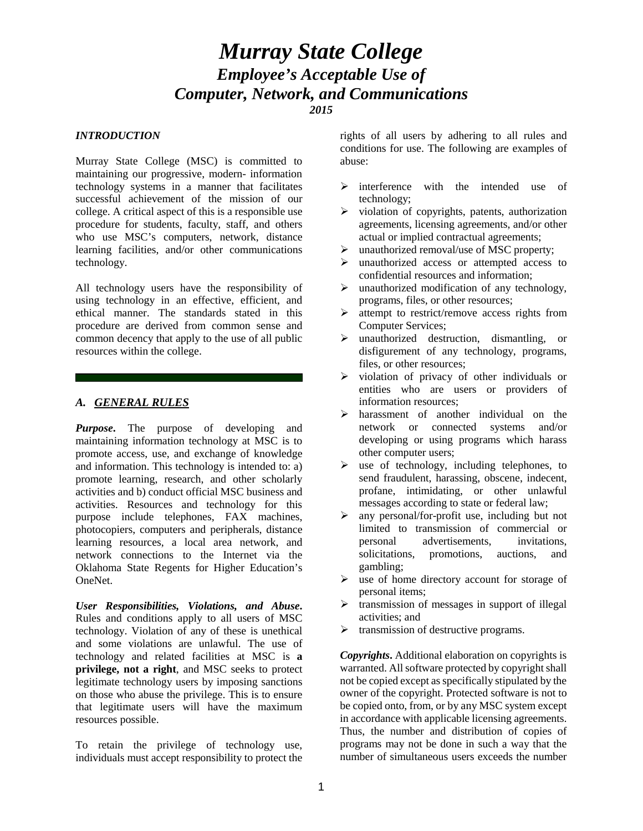# *Murray State College Employee's Acceptable Use of Computer, Network, and Communications 2015*

#### *INTRODUCTION*

Murray State College (MSC) is committed to maintaining our progressive, modern- information technology systems in a manner that facilitates successful achievement of the mission of our college. A critical aspect of this is a responsible use procedure for students, faculty, staff, and others who use MSC's computers, network, distance learning facilities, and/or other communications technology.

All technology users have the responsibility of using technology in an effective, efficient, and ethical manner. The standards stated in this procedure are derived from common sense and common decency that apply to the use of all public resources within the college.

### *A. GENERAL RULES*

*Purpose*. The purpose of developing and maintaining information technology at MSC is to promote access, use, and exchange of knowledge and information. This technology is intended to: a) promote learning, research, and other scholarly activities and b) conduct official MSC business and activities. Resources and technology for this purpose include telephones, FAX machines, photocopiers, computers and peripherals, distance learning resources, a local area network, and network connections to the Internet via the Oklahoma State Regents for Higher Education's OneNet.

*User Responsibilities, Violations, and Abuse***.** Rules and conditions apply to all users of MSC technology. Violation of any of these is unethical and some violations are unlawful. The use of technology and related facilities at MSC is **a privilege, not a right**, and MSC seeks to protect legitimate technology users by imposing sanctions on those who abuse the privilege. This is to ensure that legitimate users will have the maximum resources possible.

To retain the privilege of technology use, individuals must accept responsibility to protect the rights of all users by adhering to all rules and conditions for use. The following are examples of abuse:

- $\triangleright$  interference with the intended use of technology;
- $\triangleright$  violation of copyrights, patents, authorization agreements, licensing agreements, and/or other actual or implied contractual agreements;
- $\triangleright$  unauthorized removal/use of MSC property:
- $\triangleright$  unauthorized access or attempted access to confidential resources and information;
- $\triangleright$  unauthorized modification of any technology, programs, files, or other resources;
- $\triangleright$  attempt to restrict/remove access rights from Computer Services;
- $\triangleright$  unauthorized destruction, dismantling, or disfigurement of any technology, programs, files, or other resources;
- $\triangleright$  violation of privacy of other individuals or entities who are users or providers of information resources;
- harassment of another individual on the network or connected systems and/or developing or using programs which harass other computer users;
- $\triangleright$  use of technology, including telephones, to send fraudulent, harassing, obscene, indecent, profane, intimidating, or other unlawful messages according to state or federal law;
- $\triangleright$  any personal/for-profit use, including but not limited to transmission of commercial or personal advertisements, invitations, solicitations, promotions, auctions, and gambling;
- $\triangleright$  use of home directory account for storage of personal items;
- $\triangleright$  transmission of messages in support of illegal activities; and
- $\triangleright$  transmission of destructive programs.

*Copyrights***.** Additional elaboration on copyrights is warranted. All software protected by copyright shall not be copied except as specifically stipulated by the owner of the copyright. Protected software is not to be copied onto, from, or by any MSC system except in accordance with applicable licensing agreements. Thus, the number and distribution of copies of programs may not be done in such a way that the number of simultaneous users exceeds the number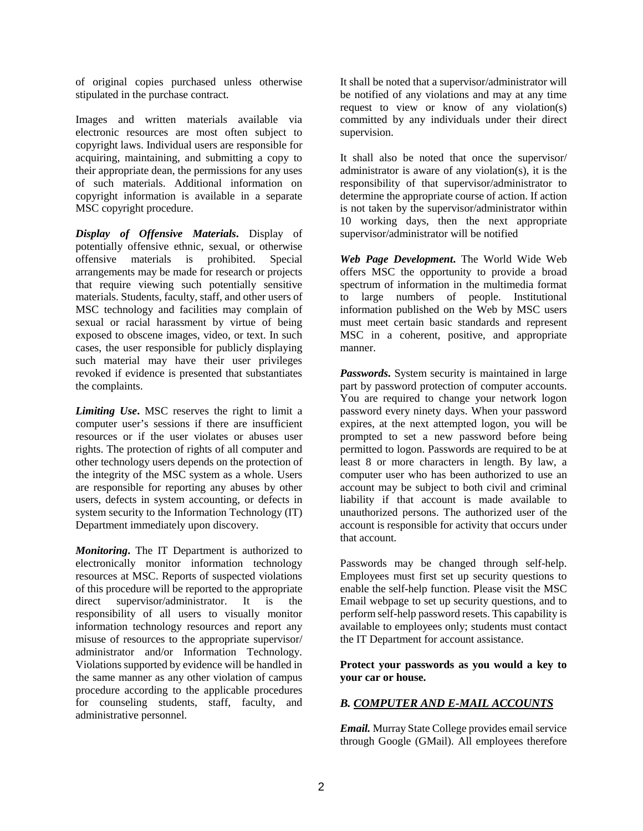of original copies purchased unless otherwise stipulated in the purchase contract.

Images and written materials available via electronic resources are most often subject to copyright laws. Individual users are responsible for acquiring, maintaining, and submitting a copy to their appropriate dean, the permissions for any uses of such materials. Additional information on copyright information is available in a separate MSC copyright procedure.

*Display of Offensive Materials***.** Display of potentially offensive ethnic, sexual, or otherwise offensive materials is prohibited. Special arrangements may be made for research or projects that require viewing such potentially sensitive materials. Students, faculty, staff, and other users of MSC technology and facilities may complain of sexual or racial harassment by virtue of being exposed to obscene images, video, or text. In such cases, the user responsible for publicly displaying such material may have their user privileges revoked if evidence is presented that substantiates the complaints.

*Limiting Use***.** MSC reserves the right to limit a computer user's sessions if there are insufficient resources or if the user violates or abuses user rights. The protection of rights of all computer and other technology users depends on the protection of the integrity of the MSC system as a whole. Users are responsible for reporting any abuses by other users, defects in system accounting, or defects in system security to the Information Technology (IT) Department immediately upon discovery.

*Monitoring***.** The IT Department is authorized to electronically monitor information technology resources at MSC. Reports of suspected violations of this procedure will be reported to the appropriate direct supervisor/administrator. It is the responsibility of all users to visually monitor information technology resources and report any misuse of resources to the appropriate supervisor/ administrator and/or Information Technology. Violations supported by evidence will be handled in the same manner as any other violation of campus procedure according to the applicable procedures for counseling students, staff, faculty, and administrative personnel.

It shall be noted that a supervisor/administrator will be notified of any violations and may at any time request to view or know of any violation(s) committed by any individuals under their direct supervision.

It shall also be noted that once the supervisor/ administrator is aware of any violation(s), it is the responsibility of that supervisor/administrator to determine the appropriate course of action. If action is not taken by the supervisor/administrator within 10 working days, then the next appropriate supervisor/administrator will be notified

*Web Page Development***.** The World Wide Web offers MSC the opportunity to provide a broad spectrum of information in the multimedia format to large numbers of people. Institutional information published on the Web by MSC users must meet certain basic standards and represent MSC in a coherent, positive, and appropriate manner.

*Passwords***.** System security is maintained in large part by password protection of computer accounts. You are required to change your network logon password every ninety days. When your password expires, at the next attempted logon, you will be prompted to set a new password before being permitted to logon. Passwords are required to be at least 8 or more characters in length. By law, a computer user who has been authorized to use an account may be subject to both civil and criminal liability if that account is made available to unauthorized persons. The authorized user of the account is responsible for activity that occurs under that account.

Passwords may be changed through self-help. Employees must first set up security questions to enable the self-help function. Please visit the MSC Email webpage to set up security questions, and to perform self-help password resets. This capability is available to employees only; students must contact the IT Department for account assistance.

**Protect your passwords as you would a key to your car or house.**

# *B. COMPUTER AND E-MAIL ACCOUNTS*

*Email.* Murray State College provides email service through Google (GMail). All employees therefore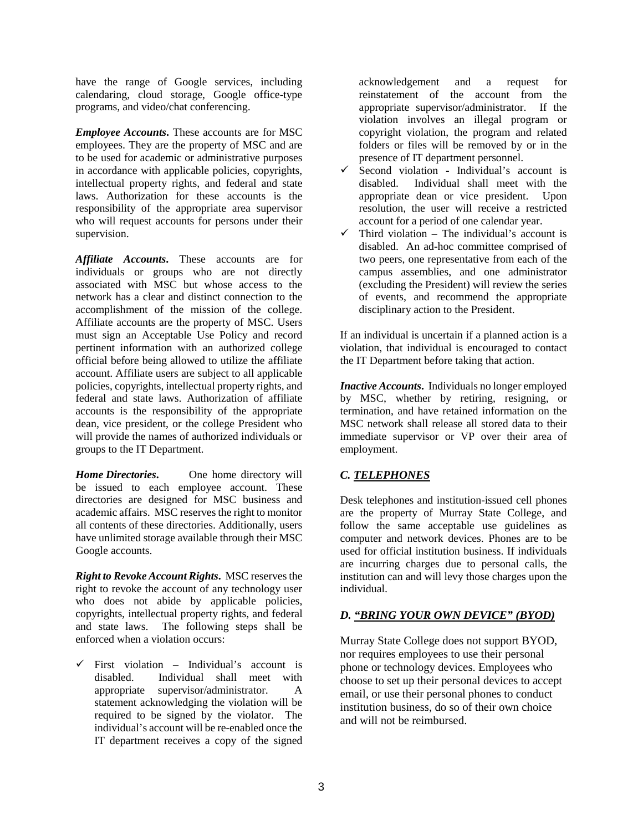have the range of Google services, including calendaring, cloud storage, Google office-type programs, and video/chat conferencing.

*Employee Accounts***.** These accounts are for MSC employees. They are the property of MSC and are to be used for academic or administrative purposes in accordance with applicable policies, copyrights, intellectual property rights, and federal and state laws. Authorization for these accounts is the responsibility of the appropriate area supervisor who will request accounts for persons under their supervision.

*Affiliate Accounts***.** These accounts are for individuals or groups who are not directly associated with MSC but whose access to the network has a clear and distinct connection to the accomplishment of the mission of the college. Affiliate accounts are the property of MSC. Users must sign an Acceptable Use Policy and record pertinent information with an authorized college official before being allowed to utilize the affiliate account. Affiliate users are subject to all applicable policies, copyrights, intellectual property rights, and federal and state laws. Authorization of affiliate accounts is the responsibility of the appropriate dean, vice president, or the college President who will provide the names of authorized individuals or groups to the IT Department.

*Home Directories***.** One home directory will be issued to each employee account. These directories are designed for MSC business and academic affairs. MSC reserves the right to monitor all contents of these directories. Additionally, users have unlimited storage available through their MSC Google accounts.

*Right to Revoke Account Rights***.** MSC reserves the right to revoke the account of any technology user who does not abide by applicable policies, copyrights, intellectual property rights, and federal and state laws. The following steps shall be enforced when a violation occurs:

 $\checkmark$  First violation – Individual's account is disabled. Individual shall meet with appropriate supervisor/administrator. A statement acknowledging the violation will be required to be signed by the violator. The individual's account will be re-enabled once the IT department receives a copy of the signed acknowledgement and a request for reinstatement of the account from the appropriate supervisor/administrator. If the violation involves an illegal program or copyright violation, the program and related folders or files will be removed by or in the presence of IT department personnel.

- Second violation Individual's account is disabled. Individual shall meet with the appropriate dean or vice president. Upon resolution, the user will receive a restricted account for a period of one calendar year.
- $\checkmark$  Third violation The individual's account is disabled. An ad-hoc committee comprised of two peers, one representative from each of the campus assemblies, and one administrator (excluding the President) will review the series of events, and recommend the appropriate disciplinary action to the President.

If an individual is uncertain if a planned action is a violation, that individual is encouraged to contact the IT Department before taking that action.

*Inactive Accounts***.** Individuals no longer employed by MSC, whether by retiring, resigning, or termination, and have retained information on the MSC network shall release all stored data to their immediate supervisor or VP over their area of employment.

# *C. TELEPHONES*

Desk telephones and institution-issued cell phones are the property of Murray State College, and follow the same acceptable use guidelines as computer and network devices. Phones are to be used for official institution business. If individuals are incurring charges due to personal calls, the institution can and will levy those charges upon the individual.

# *D. "BRING YOUR OWN DEVICE" (BYOD)*

Murray State College does not support BYOD, nor requires employees to use their personal phone or technology devices. Employees who choose to set up their personal devices to accept email, or use their personal phones to conduct institution business, do so of their own choice and will not be reimbursed.